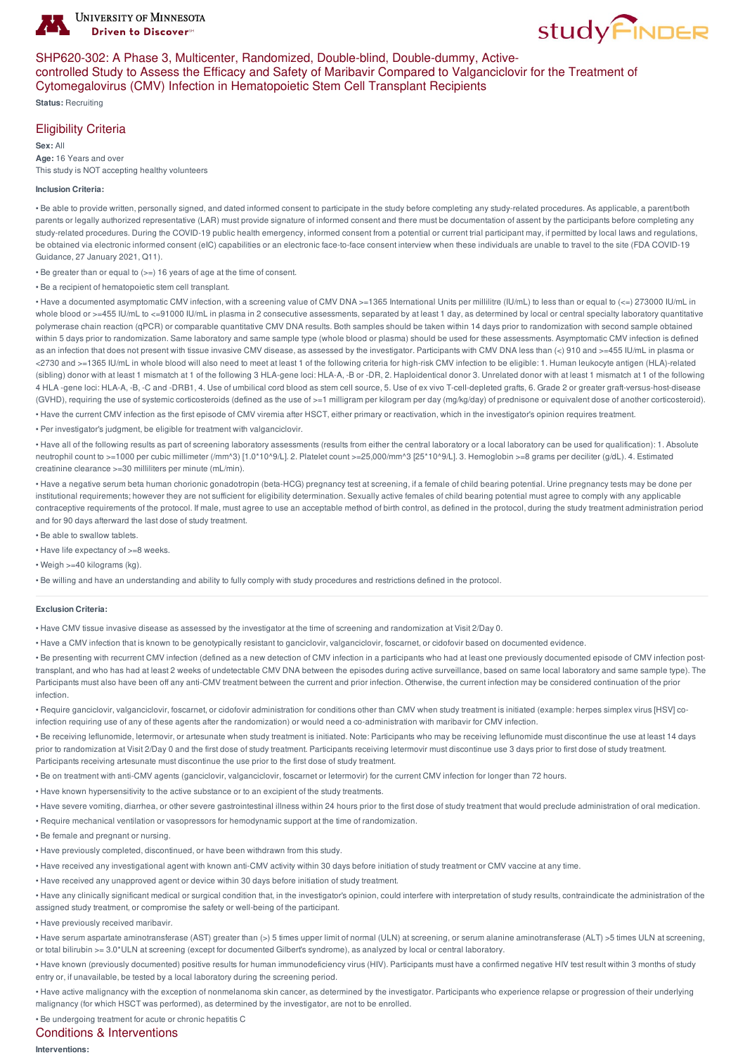



### SHP620-302: A Phase 3, Multicenter, Randomized, Double-blind, Double-dummy, Activecontrolled Study to Assess the Efficacy and Safety of Maribavir Compared to Valganciclovir for the Treatment of Cytomegalovirus (CMV) Infection in Hematopoietic Stem Cell Transplant Recipients

**Status:** Recruiting

## Eligibility Criteria

**Sex:** All **Age:** 16 Years and over This study is NOT accepting healthy volunteers

#### **Inclusion Criteria:**

• Be able to provide written, personally signed, and dated informed consent to participate in the study before completing any study-related procedures. As applicable, a parent/both parents or legally authorized representative (LAR) must provide signature of informed consent and there must be documentation of assent by the participants before completing any study-related procedures. During the COVID-19 public health emergency, informed consent from a potential or current trial participant may, if permitted by local laws and regulations. be obtained via electronic informed consent (eIC) capabilities or an electronic face-to-face consent interview when these individuals are unable to travel to the site (FDA COVID-19 Guidance, 27 January 2021, Q11).

• Be greater than or equal to (>=) 16 years of age at the time of consent.

• Be a recipient of hematopoietic stem cell transplant.

• Have a documented asymptomatic CMV infection, with a screening value of CMV DNA >=1365 International Units per millilitre (IU/mL) to less than or equal to (<=) 273000 IU/mL in whole blood or >=455 IU/mL to <=91000 IU/mL in plasma in 2 consecutive assessments, separated by at least 1 day, as determined by local or central specialty laboratory quantitative polymerase chain reaction (qPCR) or comparable quantitative CMV DNA results. Both samples should be taken within 14 days prior to randomization with second sample obtained within 5 days prior to randomization. Same laboratory and same sample type (whole blood or plasma) should be used for these assessments. Asymptomatic CMV infection is defined as an infection that does not present with tissue invasive CMV disease, as assessed by the investigator. Participants with CMV DNA less than (<) 910 and >=455 IU/mL in plasma or <2730 and >=1365 IU/mL in whole blood will also need to meet at least 1 of the following criteria for high-risk CMV infection to be eligible: 1. Human leukocyte antigen (HLA)-related (sibling) donor with at least 1 mismatch at 1 of the following 3 HLA-gene loci: HLA-A, -B or -DR, 2. Haploidentical donor 3. Unrelated donor with at least 1 mismatch at 1 of the following 4 HLA -gene loci: HLA-A, -B, -C and -DRB1, 4. Use of umbilical cord blood as stem cell source, 5. Use of ex vivo T-cell-depleted grafts, 6. Grade 2 or greater graft-versus-host-disease (GVHD), requiring the use of systemic corticosteroids (defined as the use of >=1 milligram per kilogram per day (mg/kg/day) of prednisone or equivalent dose of another corticosteroid). • Have the current CMV infection as the first episode of CMV viremia after HSCT, either primary or reactivation, which in the investigator's opinion requires treatment.

• Per investigator's judgment, be eligible for treatment with valganciclovir.

• Have all of the following results as part of screening laboratory assessments (results from either the central laboratory or a local laboratory can be used for qualification): 1. Absolute neutrophil count to >=1000 per cubic millimeter (/mm^3) [1.0\*10^9/L]. 2. Platelet count >=25,000/mm^3 [25\*10^9/L]. 3. Hemoglobin >=8 grams per deciliter (g/dL). 4. Estimated creatinine clearance >=30 milliliters per minute (mL/min).

• Have a negative serum beta human chorionic gonadotropin (beta-HCG) pregnancy test at screening, if a female of child bearing potential. Urine pregnancy tests may be done per institutional requirements; however they are not sufficient for eligibility determination. Sexually active females of child bearing potential must agree to comply with any applicable contraceptive requirements of the protocol. If male, must agree to use an acceptable method of birth control, as defined in the protocol, during the study treatment administration period and for 90 days afterward the last dose of study treatment.

- Be able to swallow tablets.
- Have life expectancy of  $>=8$  weeks.
- Weigh >=40 kilograms (kg).

• Be willing and have an understanding and ability to fully comply with study procedures and restrictions defined in the protocol.

#### **Exclusion Criteria:**

• Have CMV tissue invasive disease as assessed by the investigator at the time of screening and randomization at Visit 2/Day 0.

• Have a CMV infection that is known to be genotypically resistant to ganciclovir, valganciclovir, foscarnet, or cidofovir based on documented evidence.

• Be presenting with recurrent CMV infection (defined as a new detection of CMV infection in a participants who had at least one previously documented episode of CMV infection posttransplant, and who has had at least 2 weeks of undetectable CMV DNA between the episodes during active surveillance, based on same local laboratory and same sample type). The Participants must also have been off any anti-CMV treatment between the current and prior infection. Otherwise, the current infection may be considered continuation of the prior infection.

• Require ganciclovir, valganciclovir, foscarnet, or cidofovir administration for conditions other than CMV when study treatment is initiated (example: herpes simplex virus [HSV] coinfection requiring use of any of these agents after the randomization) or would need a co-administration with maribavir for CMV infection.

• Be receiving leflunomide, letermovir, or artesunate when study treatment is initiated. Note: Participants who may be receiving leflunomide must discontinue the use at least 14 days prior to randomization at Visit 2/Day 0 and the first dose of study treatment. Participants receiving letermovir must discontinue use 3 days prior to first dose of study treatment. Participants receiving artesunate must discontinue the use prior to the first dose of study treatment.

• Be on treatment with anti-CMV agents (ganciclovir, valganciclovir, foscarnet or letermovir) for the current CMV infection for longer than 72 hours.

• Have known hypersensitivity to the active substance or to an excipient of the study treatments.

• Have severe vomiting, diarrhea, or other severe gastrointestinal illness within 24 hours prior to the first dose of study treatment that would preclude administration of oral medication.

• Require mechanical ventilation or vasopressors for hemodynamic support at the time of randomization.

- Be female and pregnant or nursing.
- Have previously completed, discontinued, or have been withdrawn from this study.

• Have received any investigational agent with known anti-CMV activity within 30 days before initiation of study treatment or CMV vaccine at any time.

• Have received any unapproved agent or device within 30 days before initiation of study treatment.

• Have any clinically significant medical or surgical condition that, in the investigator's opinion, could interfere with interpretation of study results, contraindicate the administration of the assigned study treatment, or compromise the safety or well-being of the participant.

• Have previously received maribavir.

• Have serum aspartate aminotransferase (AST) greater than (>) 5 times upper limit of normal (ULN) at screening, or serum alanine aminotransferase (ALT) >5 times ULN at screening, or total bilirubin >= 3.0\*ULN at screening (except for documented Gilbert's syndrome), as analyzed by local or central laboratory.

• Have known (previously documented) positive results for human immunodeficiency virus (HIV). Participants must have a confirmed negative HIV test result within 3 months of study entry or, if unavailable, be tested by a local laboratory during the screening period.

• Have active malignancy with the exception of nonmelanoma skin cancer, as determined by the investigator. Participants who experience relapse or progression of their underlying malignancy (for which HSCT was performed), as determined by the investigator, are not to be enrolled.

• Be undergoing treatment for acute or chronic hepatitis C

# Conditions & Interventions

**Interventions:**